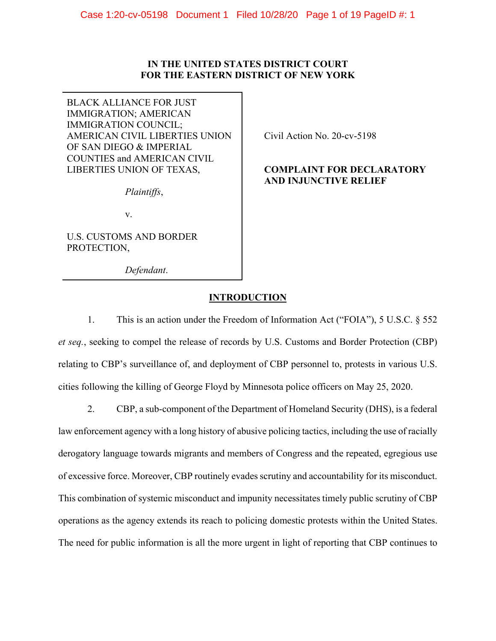# **IN THE UNITED STATES DISTRICT COURT FOR THE EASTERN DISTRICT OF NEW YORK**

BLACK ALLIANCE FOR JUST IMMIGRATION; AMERICAN IMMIGRATION COUNCIL; AMERICAN CIVIL LIBERTIES UNION OF SAN DIEGO & IMPERIAL COUNTIES and AMERICAN CIVIL LIBERTIES UNION OF TEXAS,

*Plaintiffs*,

v.

U.S. CUSTOMS AND BORDER PROTECTION,

*Defendant*.

Civil Action No. 20-cv-5198

# **COMPLAINT FOR DECLARATORY AND INJUNCTIVE RELIEF**

# **INTRODUCTION**

1. This is an action under the Freedom of Information Act ("FOIA"), 5 U.S.C. § 552 *et seq.*, seeking to compel the release of records by U.S. Customs and Border Protection (CBP) relating to CBP's surveillance of, and deployment of CBP personnel to, protests in various U.S. cities following the killing of George Floyd by Minnesota police officers on May 25, 2020.

2. CBP, a sub-component of the Department of Homeland Security (DHS), is a federal

law enforcement agency with a long history of abusive policing tactics, including the use of racially derogatory language towards migrants and members of Congress and the repeated, egregious use of excessive force. Moreover, CBP routinely evades scrutiny and accountability for its misconduct. This combination of systemic misconduct and impunity necessitates timely public scrutiny of CBP operations as the agency extends its reach to policing domestic protests within the United States. The need for public information is all the more urgent in light of reporting that CBP continues to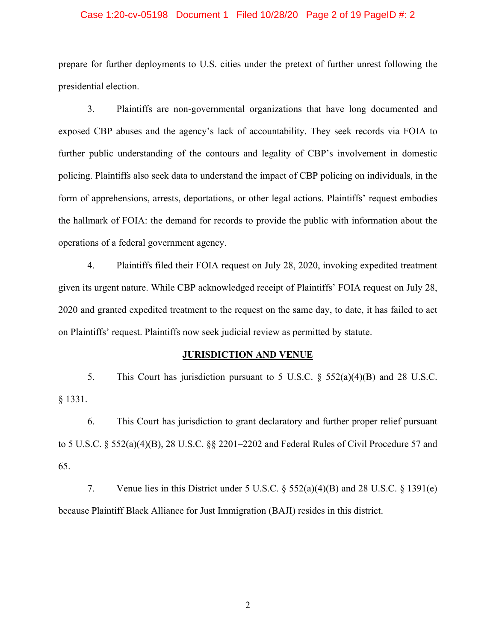#### Case 1:20-cv-05198 Document 1 Filed 10/28/20 Page 2 of 19 PageID #: 2

prepare for further deployments to U.S. cities under the pretext of further unrest following the presidential election.

3. Plaintiffs are non-governmental organizations that have long documented and exposed CBP abuses and the agency's lack of accountability. They seek records via FOIA to further public understanding of the contours and legality of CBP's involvement in domestic policing. Plaintiffs also seek data to understand the impact of CBP policing on individuals, in the form of apprehensions, arrests, deportations, or other legal actions. Plaintiffs' request embodies the hallmark of FOIA: the demand for records to provide the public with information about the operations of a federal government agency.

4. Plaintiffs filed their FOIA request on July 28, 2020, invoking expedited treatment given its urgent nature. While CBP acknowledged receipt of Plaintiffs' FOIA request on July 28, 2020 and granted expedited treatment to the request on the same day, to date, it has failed to act on Plaintiffs' request. Plaintiffs now seek judicial review as permitted by statute.

#### **JURISDICTION AND VENUE**

5. This Court has jurisdiction pursuant to 5 U.S.C. § 552(a)(4)(B) and 28 U.S.C. § 1331.

6. This Court has jurisdiction to grant declaratory and further proper relief pursuant to 5 U.S.C. § 552(a)(4)(B), 28 U.S.C. §§ 2201–2202 and Federal Rules of Civil Procedure 57 and 65.

7. Venue lies in this District under 5 U.S.C. § 552(a)(4)(B) and 28 U.S.C. § 1391(e) because Plaintiff Black Alliance for Just Immigration (BAJI) resides in this district.

2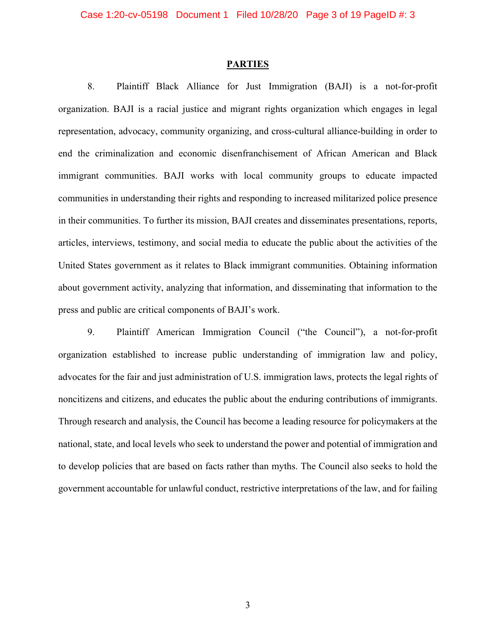#### **PARTIES**

8. Plaintiff Black Alliance for Just Immigration (BAJI) is a not-for-profit organization. BAJI is a racial justice and migrant rights organization which engages in legal representation, advocacy, community organizing, and cross-cultural alliance-building in order to end the criminalization and economic disenfranchisement of African American and Black immigrant communities. BAJI works with local community groups to educate impacted communities in understanding their rights and responding to increased militarized police presence in their communities. To further its mission, BAJI creates and disseminates presentations, reports, articles, interviews, testimony, and social media to educate the public about the activities of the United States government as it relates to Black immigrant communities. Obtaining information about government activity, analyzing that information, and disseminating that information to the press and public are critical components of BAJI's work.

9. Plaintiff American Immigration Council ("the Council"), a not-for-profit organization established to increase public understanding of immigration law and policy, advocates for the fair and just administration of U.S. immigration laws, protects the legal rights of noncitizens and citizens, and educates the public about the enduring contributions of immigrants. Through research and analysis, the Council has become a leading resource for policymakers at the national, state, and local levels who seek to understand the power and potential of immigration and to develop policies that are based on facts rather than myths. The Council also seeks to hold the government accountable for unlawful conduct, restrictive interpretations of the law, and for failing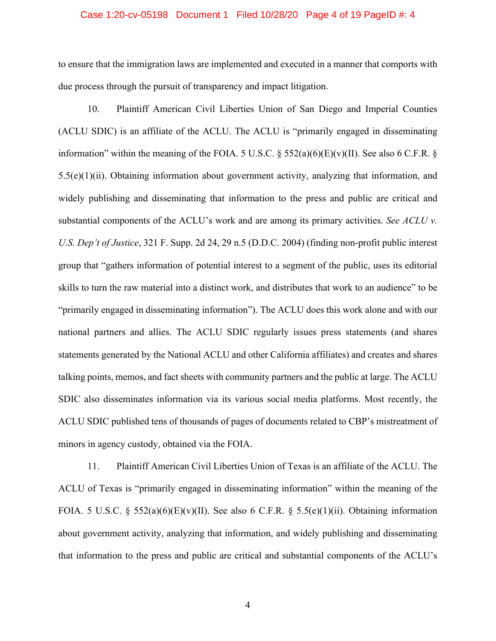### Case 1:20-cv-05198 Document 1 Filed 10/28/20 Page 4 of 19 PageID #: 4

to ensure that the immigration laws are implemented and executed in a manner that comports with due process through the pursuit of transparency and impact litigation.

10. Plaintiff American Civil Liberties Union of San Diego and Imperial Counties (ACLU SDIC) is an affiliate of the ACLU. The ACLU is "primarily engaged in disseminating information" within the meaning of the FOIA. 5 U.S.C.  $\S$  552(a)(6)(E)(v)(II). See also 6 C.F.R.  $\S$  $5.5(e)(1)(ii)$ . Obtaining information about government activity, analyzing that information, and widely publishing and disseminating that information to the press and public are critical and substantial components of the ACLU's work and are among its primary activities. *See ACLU v. U.S. Dep't of Justice*, 321 F. Supp. 2d 24, 29 n.5 (D.D.C. 2004) (finding non-profit public interest group that "gathers information of potential interest to a segment of the public, uses its editorial skills to turn the raw material into a distinct work, and distributes that work to an audience" to be "primarily engaged in disseminating information"). The ACLU does this work alone and with our national partners and allies. The ACLU SDIC regularly issues press statements (and shares statements generated by the National ACLU and other California affiliates) and creates and shares talking points, memos, and fact sheets with community partners and the public at large. The ACLU SDIC also disseminates information via its various social media platforms. Most recently, the ACLU SDIC published tens of thousands of pages of documents related to CBP's mistreatment of minors in agency custody, obtained via the FOIA.

11. Plaintiff American Civil Liberties Union of Texas is an affiliate of the ACLU. The ACLU of Texas is "primarily engaged in disseminating information" within the meaning of the FOIA. 5 U.S.C. § 552(a)(6)(E)(v)(II). See also 6 C.F.R. § 5.5(e)(1)(ii). Obtaining information about government activity, analyzing that information, and widely publishing and disseminating that information to the press and public are critical and substantial components of the ACLU's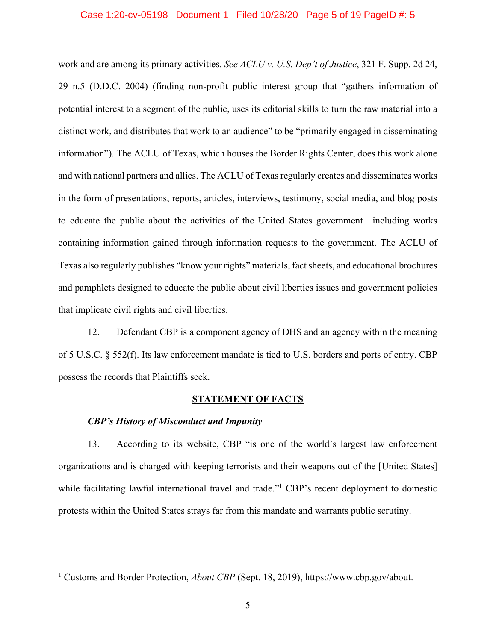#### Case 1:20-cv-05198 Document 1 Filed 10/28/20 Page 5 of 19 PageID #: 5

work and are among its primary activities. *See ACLU v. U.S. Dep't of Justice*, 321 F. Supp. 2d 24, 29 n.5 (D.D.C. 2004) (finding non-profit public interest group that "gathers information of potential interest to a segment of the public, uses its editorial skills to turn the raw material into a distinct work, and distributes that work to an audience" to be "primarily engaged in disseminating information"). The ACLU of Texas, which houses the Border Rights Center, does this work alone and with national partners and allies. The ACLU of Texas regularly creates and disseminates works in the form of presentations, reports, articles, interviews, testimony, social media, and blog posts to educate the public about the activities of the United States government—including works containing information gained through information requests to the government. The ACLU of Texas also regularly publishes "know your rights" materials, fact sheets, and educational brochures and pamphlets designed to educate the public about civil liberties issues and government policies that implicate civil rights and civil liberties.

12. Defendant CBP is a component agency of DHS and an agency within the meaning of 5 U.S.C. § 552(f). Its law enforcement mandate is tied to U.S. borders and ports of entry. CBP possess the records that Plaintiffs seek.

#### **STATEMENT OF FACTS**

### *CBP's History of Misconduct and Impunity*

13. According to its website, CBP "is one of the world's largest law enforcement organizations and is charged with keeping terrorists and their weapons out of the [United States] while facilitating lawful international travel and trade."<sup>1</sup> CBP's recent deployment to domestic protests within the United States strays far from this mandate and warrants public scrutiny.

<sup>&</sup>lt;sup>1</sup> Customs and Border Protection, *About CBP* (Sept. 18, 2019), https://www.cbp.gov/about.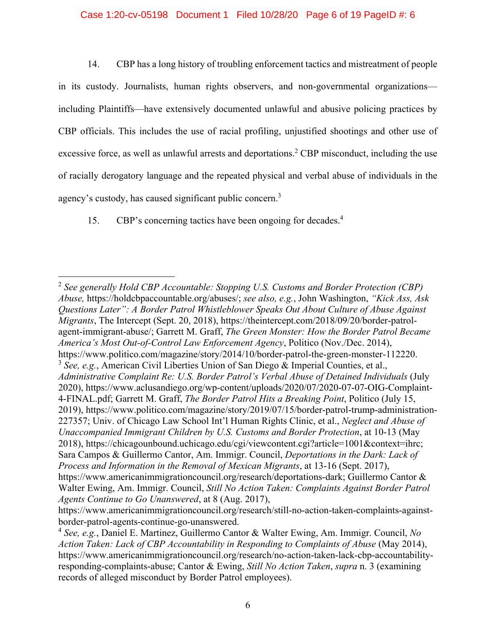### Case 1:20-cv-05198 Document 1 Filed 10/28/20 Page 6 of 19 PageID #: 6

14. CBP has a long history of troubling enforcement tactics and mistreatment of people in its custody. Journalists, human rights observers, and non-governmental organizations including Plaintiffs—have extensively documented unlawful and abusive policing practices by CBP officials. This includes the use of racial profiling, unjustified shootings and other use of excessive force, as well as unlawful arrests and deportations.<sup>2</sup> CBP misconduct, including the use of racially derogatory language and the repeated physical and verbal abuse of individuals in the agency's custody, has caused significant public concern.<sup>3</sup>

15. CBP's concerning tactics have been ongoing for decades.<sup>4</sup>

<sup>2</sup> *See generally Hold CBP Accountable: Stopping U.S. Customs and Border Protection (CBP) Abuse,* https://holdcbpaccountable.org/abuses/; *see also, e.g.*, John Washington, *"Kick Ass, Ask Questions Later": A Border Patrol Whistleblower Speaks Out About Culture of Abuse Against Migrants*, The Intercept (Sept. 20, 2018), https://theintercept.com/2018/09/20/border-patrolagent-immigrant-abuse/; Garrett M. Graff, *The Green Monster: How the Border Patrol Became America's Most Out-of-Control Law Enforcement Agency*, Politico (Nov./Dec. 2014), https://www.politico.com/magazine/story/2014/10/border-patrol-the-green-monster-112220. <sup>3</sup> *See, e.g.*, American Civil Liberties Union of San Diego & Imperial Counties, et al., *Administrative Complaint Re: U.S. Border Patrol's Verbal Abuse of Detained Individuals* (July 2020), https://www.aclusandiego.org/wp-content/uploads/2020/07/2020-07-07-OIG-Complaint-4-FINAL.pdf; Garrett M. Graff, *The Border Patrol Hits a Breaking Point*, Politico (July 15, 2019), https://www.politico.com/magazine/story/2019/07/15/border-patrol-trump-administration-227357; Univ. of Chicago Law School Int'l Human Rights Clinic, et al., *Neglect and Abuse of Unaccompanied Immigrant Children by U.S. Customs and Border Protection*, at 10-13 (May 2018), https://chicagounbound.uchicago.edu/cgi/viewcontent.cgi?article=1001&context=ihrc; Sara Campos & Guillermo Cantor, Am. Immigr. Council, *Deportations in the Dark: Lack of Process and Information in the Removal of Mexican Migrants*, at 13-16 (Sept. 2017), https://www.americanimmigrationcouncil.org/research/deportations-dark; Guillermo Cantor & Walter Ewing, Am. Immigr. Council, *Still No Action Taken: Complaints Against Border Patrol Agents Continue to Go Unanswered*, at 8 (Aug. 2017),

https://www.americanimmigrationcouncil.org/research/still-no-action-taken-complaints-againstborder-patrol-agents-continue-go-unanswered.

<sup>4</sup> *See, e.g.*, Daniel E. Martinez, Guillermo Cantor & Walter Ewing, Am. Immigr. Council, *No Action Taken: Lack of CBP Accountability in Responding to Complaints of Abuse* (May 2014), https://www.americanimmigrationcouncil.org/research/no-action-taken-lack-cbp-accountabilityresponding-complaints-abuse; Cantor & Ewing, *Still No Action Taken*, *supra* n. 3 (examining records of alleged misconduct by Border Patrol employees).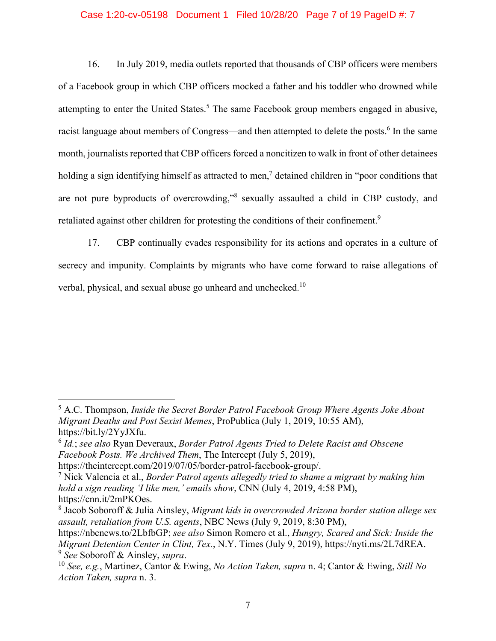### Case 1:20-cv-05198 Document 1 Filed 10/28/20 Page 7 of 19 PageID #: 7

16. In July 2019, media outlets reported that thousands of CBP officers were members of a Facebook group in which CBP officers mocked a father and his toddler who drowned while attempting to enter the United States.<sup>5</sup> The same Facebook group members engaged in abusive, racist language about members of Congress—and then attempted to delete the posts.<sup>6</sup> In the same month, journalists reported that CBP officers forced a noncitizen to walk in front of other detainees holding a sign identifying himself as attracted to men,<sup>7</sup> detained children in "poor conditions that are not pure byproducts of overcrowding,"<sup>8</sup> sexually assaulted a child in CBP custody, and retaliated against other children for protesting the conditions of their confinement.<sup>9</sup>

17. CBP continually evades responsibility for its actions and operates in a culture of secrecy and impunity. Complaints by migrants who have come forward to raise allegations of verbal, physical, and sexual abuse go unheard and unchecked.<sup>10</sup>

<sup>5</sup> A.C. Thompson, *Inside the Secret Border Patrol Facebook Group Where Agents Joke About Migrant Deaths and Post Sexist Memes*, ProPublica (July 1, 2019, 10:55 AM), https://bit.ly/2YyJXfu.

<sup>6</sup> *Id.*; *see also* Ryan Deveraux, *Border Patrol Agents Tried to Delete Racist and Obscene Facebook Posts. We Archived Them*, The Intercept (July 5, 2019),

https://theintercept.com/2019/07/05/border-patrol-facebook-group/.

<sup>7</sup> Nick Valencia et al., *Border Patrol agents allegedly tried to shame a migrant by making him hold a sign reading 'I like men,' emails show*, CNN (July 4, 2019, 4:58 PM), https://cnn.it/2mPKOes.

<sup>8</sup> Jacob Soboroff & Julia Ainsley, *Migrant kids in overcrowded Arizona border station allege sex assault, retaliation from U.S. agents*, NBC News (July 9, 2019, 8:30 PM),

https://nbcnews.to/2LbfbGP; *see also* Simon Romero et al., *Hungry, Scared and Sick: Inside the Migrant Detention Center in Clint, Tex.*, N.Y. Times (July 9, 2019), https://nyti.ms/2L7dREA. <sup>9</sup> *See* Soboroff & Ainsley, *supra*.

<sup>10</sup> *See, e.g.*, Martinez, Cantor & Ewing, *No Action Taken, supra* n. 4; Cantor & Ewing, *Still No Action Taken, supra* n. 3.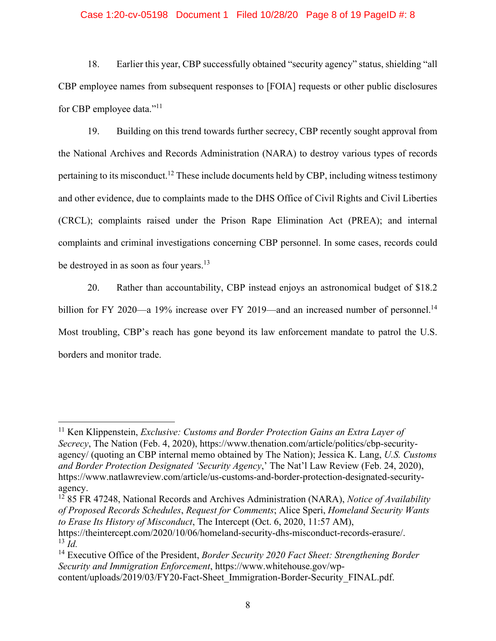#### Case 1:20-cv-05198 Document 1 Filed 10/28/20 Page 8 of 19 PageID #: 8

18. Earlier this year, CBP successfully obtained "security agency" status, shielding "all CBP employee names from subsequent responses to [FOIA] requests or other public disclosures for CBP employee data."11

19. Building on this trend towards further secrecy, CBP recently sought approval from the National Archives and Records Administration (NARA) to destroy various types of records pertaining to its misconduct.<sup>12</sup> These include documents held by CBP, including witness testimony and other evidence, due to complaints made to the DHS Office of Civil Rights and Civil Liberties (CRCL); complaints raised under the Prison Rape Elimination Act (PREA); and internal complaints and criminal investigations concerning CBP personnel. In some cases, records could be destroyed in as soon as four years.<sup>13</sup>

20. Rather than accountability, CBP instead enjoys an astronomical budget of \$18.2 billion for FY 2020—a 19% increase over FY 2019—and an increased number of personnel.<sup>14</sup> Most troubling, CBP's reach has gone beyond its law enforcement mandate to patrol the U.S. borders and monitor trade.

<sup>11</sup> Ken Klippenstein, *Exclusive: Customs and Border Protection Gains an Extra Layer of Secrecy*, The Nation (Feb. 4, 2020), https://www.thenation.com/article/politics/cbp-securityagency/ (quoting an CBP internal memo obtained by The Nation); Jessica K. Lang, *U.S. Customs and Border Protection Designated 'Security Agency*,' The Nat'l Law Review (Feb. 24, 2020), https://www.natlawreview.com/article/us-customs-and-border-protection-designated-securityagency.

<sup>12 85</sup> FR 47248, National Records and Archives Administration (NARA), *Notice of Availability of Proposed Records Schedules*, *Request for Comments*; Alice Speri, *Homeland Security Wants to Erase Its History of Misconduct*, The Intercept (Oct. 6, 2020, 11:57 AM),

https://theintercept.com/2020/10/06/homeland-security-dhs-misconduct-records-erasure/. <sup>13</sup> *Id.*

<sup>14</sup> Executive Office of the President, *Border Security 2020 Fact Sheet: Strengthening Border Security and Immigration Enforcement*, https://www.whitehouse.gov/wpcontent/uploads/2019/03/FY20-Fact-Sheet\_Immigration-Border-Security\_FINAL.pdf.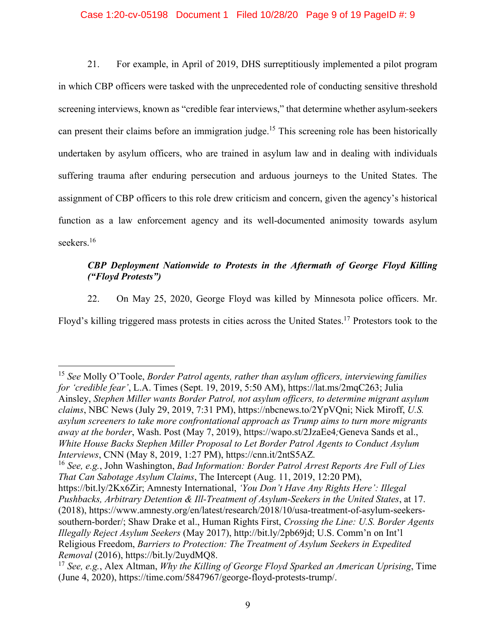### Case 1:20-cv-05198 Document 1 Filed 10/28/20 Page 9 of 19 PageID #: 9

21. For example, in April of 2019, DHS surreptitiously implemented a pilot program in which CBP officers were tasked with the unprecedented role of conducting sensitive threshold screening interviews, known as "credible fear interviews," that determine whether asylum-seekers can present their claims before an immigration judge.<sup>15</sup> This screening role has been historically undertaken by asylum officers, who are trained in asylum law and in dealing with individuals suffering trauma after enduring persecution and arduous journeys to the United States. The assignment of CBP officers to this role drew criticism and concern, given the agency's historical function as a law enforcement agency and its well-documented animosity towards asylum seekers.<sup>16</sup>

# *CBP Deployment Nationwide to Protests in the Aftermath of George Floyd Killing ("Floyd Protests")*

22. On May 25, 2020, George Floyd was killed by Minnesota police officers. Mr.

Floyd's killing triggered mass protests in cities across the United States.17 Protestors took to the

<sup>15</sup> *See* Molly O'Toole, *Border Patrol agents, rather than asylum officers, interviewing families for 'credible fear'*, L.A. Times (Sept. 19, 2019, 5:50 AM), https://lat.ms/2mqC263; Julia Ainsley, *Stephen Miller wants Border Patrol, not asylum officers, to determine migrant asylum claims*, NBC News (July 29, 2019, 7:31 PM), https://nbcnews.to/2YpVQni; Nick Miroff, *U.S. asylum screeners to take more confrontational approach as Trump aims to turn more migrants away at the border*, Wash. Post (May 7, 2019), https://wapo.st/2JzaEe4*;*Geneva Sands et al., *White House Backs Stephen Miller Proposal to Let Border Patrol Agents to Conduct Asylum Interviews*, CNN (May 8, 2019, 1:27 PM), https://cnn.it/2ntS5AZ*.*

<sup>16</sup> *See, e.g.*, John Washington, *Bad Information: Border Patrol Arrest Reports Are Full of Lies That Can Sabotage Asylum Claims*, The Intercept (Aug. 11, 2019, 12:20 PM),

https://bit.ly/2Kx6Zir; Amnesty International, *'You Don't Have Any Rights Here': Illegal Pushbacks, Arbitrary Detention & Ill-Treatment of Asylum-Seekers in the United States*, at 17. (2018), https://www.amnesty.org/en/latest/research/2018/10/usa-treatment-of-asylum-seekerssouthern-border/; Shaw Drake et al., Human Rights First, *Crossing the Line: U.S. Border Agents Illegally Reject Asylum Seekers* (May 2017), http://bit.ly/2pb69jd; U.S. Comm'n on Int'l Religious Freedom, *Barriers to Protection: The Treatment of Asylum Seekers in Expedited Removal* (2016), https://bit.ly/2uydMQ8.

<sup>17</sup> *See, e.g.*, Alex Altman, *Why the Killing of George Floyd Sparked an American Uprising*, Time (June 4, 2020), https://time.com/5847967/george-floyd-protests-trump/.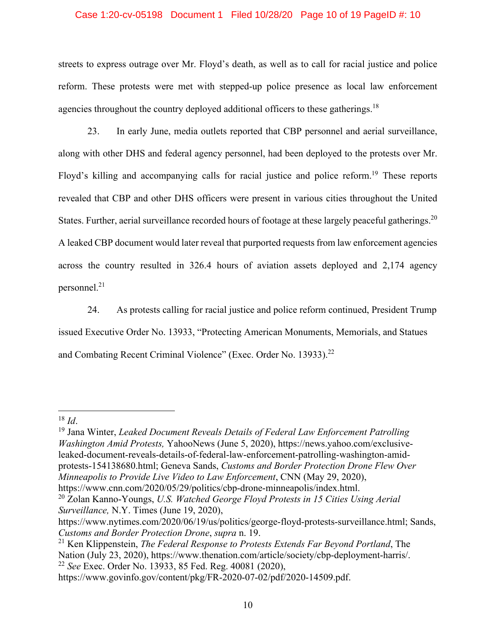### Case 1:20-cv-05198 Document 1 Filed 10/28/20 Page 10 of 19 PageID #: 10

streets to express outrage over Mr. Floyd's death, as well as to call for racial justice and police reform. These protests were met with stepped-up police presence as local law enforcement agencies throughout the country deployed additional officers to these gatherings.<sup>18</sup>

23. In early June, media outlets reported that CBP personnel and aerial surveillance, along with other DHS and federal agency personnel, had been deployed to the protests over Mr. Floyd's killing and accompanying calls for racial justice and police reform.<sup>19</sup> These reports revealed that CBP and other DHS officers were present in various cities throughout the United States. Further, aerial surveillance recorded hours of footage at these largely peaceful gatherings.<sup>20</sup> A leaked CBP document would later reveal that purported requests from law enforcement agencies across the country resulted in 326.4 hours of aviation assets deployed and 2,174 agency personnel.21

24. As protests calling for racial justice and police reform continued, President Trump issued Executive Order No. 13933, "Protecting American Monuments, Memorials, and Statues and Combating Recent Criminal Violence" (Exec. Order No. 13933).<sup>22</sup>

<sup>18</sup> *Id.*<br><sup>19</sup> Jana Winter, *Leaked Document Reveals Details of Federal Law Enforcement Patrolling Washington Amid Protests,* YahooNews (June 5, 2020), https://news.yahoo.com/exclusiveleaked-document-reveals-details-of-federal-law-enforcement-patrolling-washington-amidprotests-154138680.html; Geneva Sands, *Customs and Border Protection Drone Flew Over Minneapolis to Provide Live Video to Law Enforcement*, CNN (May 29, 2020), https://www.cnn.com/2020/05/29/politics/cbp-drone-minneapolis/index.html.

21 Ken Klippenstein, *The Federal Response to Protests Extends Far Beyond Portland*, The Nation (July 23, 2020), https://www.thenation.com/article/society/cbp-deployment-harris/. <sup>22</sup> *See* Exec. Order No. 13933, 85 Fed. Reg. 40081 (2020),

<sup>20</sup> Zolan Kanno-Youngs, *U.S. Watched George Floyd Protests in 15 Cities Using Aerial Surveillance,* N.Y. Times (June 19, 2020),

https://www.nytimes.com/2020/06/19/us/politics/george-floyd-protests-surveillance.html; Sands, *Customs and Border Protection Drone*, *supra* n. 19.

https://www.govinfo.gov/content/pkg/FR-2020-07-02/pdf/2020-14509.pdf.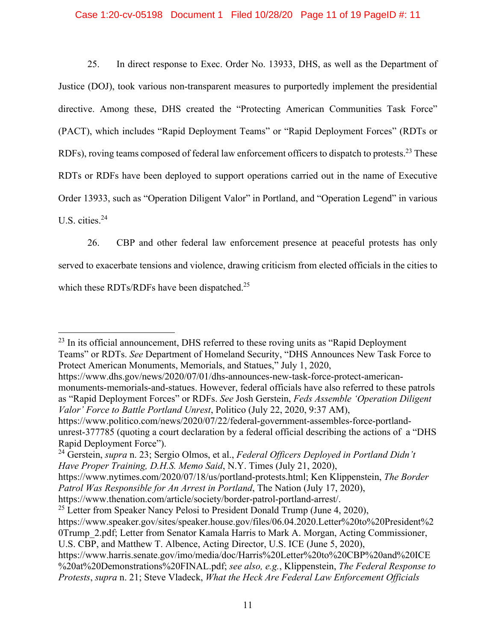### Case 1:20-cv-05198 Document 1 Filed 10/28/20 Page 11 of 19 PageID #: 11

25. In direct response to Exec. Order No. 13933, DHS, as well as the Department of Justice (DOJ), took various non-transparent measures to purportedly implement the presidential directive. Among these, DHS created the "Protecting American Communities Task Force" (PACT), which includes "Rapid Deployment Teams" or "Rapid Deployment Forces" (RDTs or RDFs), roving teams composed of federal law enforcement officers to dispatch to protests.<sup>23</sup> These RDTs or RDFs have been deployed to support operations carried out in the name of Executive Order 13933, such as "Operation Diligent Valor" in Portland, and "Operation Legend" in various U.S. cities.<sup>24</sup>

26. CBP and other federal law enforcement presence at peaceful protests has only served to exacerbate tensions and violence, drawing criticism from elected officials in the cities to which these RDTs/RDFs have been dispatched.<sup>25</sup>

 $23$  In its official announcement, DHS referred to these roving units as "Rapid Deployment Teams" or RDTs. *See* Department of Homeland Security, "DHS Announces New Task Force to Protect American Monuments, Memorials, and Statues," July 1, 2020,

https://www.dhs.gov/news/2020/07/01/dhs-announces-new-task-force-protect-americanmonuments-memorials-and-statues. However, federal officials have also referred to these patrols as "Rapid Deployment Forces" or RDFs. *See* Josh Gerstein, *Feds Assemble 'Operation Diligent Valor' Force to Battle Portland Unrest*, Politico (July 22, 2020, 9:37 AM),

https://www.politico.com/news/2020/07/22/federal-government-assembles-force-portlandunrest-377785 (quoting a court declaration by a federal official describing the actions of a "DHS Rapid Deployment Force").

<sup>24</sup> Gerstein, *supra* n. 23; Sergio Olmos, et al., *Federal Officers Deployed in Portland Didn't Have Proper Training, D.H.S. Memo Said*, N.Y. Times (July 21, 2020),

https://www.nytimes.com/2020/07/18/us/portland-protests.html; Ken Klippenstein, *The Border Patrol Was Responsible for An Arrest in Portland*, The Nation (July 17, 2020),

https://www.thenation.com/article/society/border-patrol-portland-arrest/.

<sup>&</sup>lt;sup>25</sup> Letter from Speaker Nancy Pelosi to President Donald Trump (June 4, 2020),

https://www.speaker.gov/sites/speaker.house.gov/files/06.04.2020.Letter%20to%20President%2 0Trump\_2.pdf; Letter from Senator Kamala Harris to Mark A. Morgan, Acting Commissioner, U.S. CBP, and Matthew T. Albence, Acting Director, U.S. ICE (June 5, 2020),

https://www.harris.senate.gov/imo/media/doc/Harris%20Letter%20to%20CBP%20and%20ICE %20at%20Demonstrations%20FINAL.pdf; *see also, e.g.*, Klippenstein, *The Federal Response to Protests*, *supra* n. 21; Steve Vladeck, *What the Heck Are Federal Law Enforcement Officials*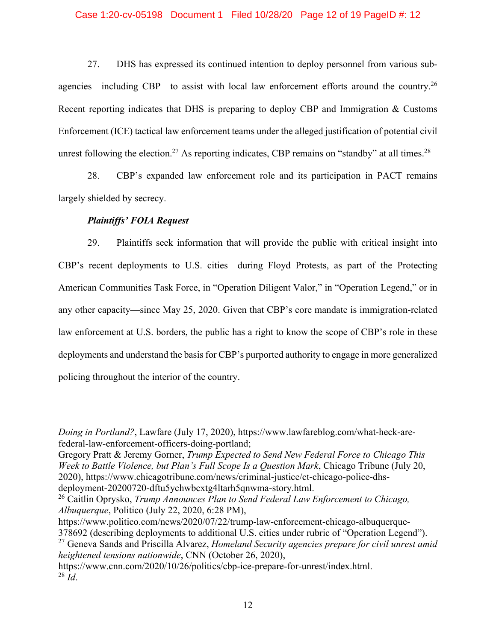### Case 1:20-cv-05198 Document 1 Filed 10/28/20 Page 12 of 19 PageID #: 12

27. DHS has expressed its continued intention to deploy personnel from various subagencies—including CBP—to assist with local law enforcement efforts around the country.<sup>26</sup> Recent reporting indicates that DHS is preparing to deploy CBP and Immigration & Customs Enforcement (ICE) tactical law enforcement teams under the alleged justification of potential civil unrest following the election.<sup>27</sup> As reporting indicates, CBP remains on "standby" at all times.<sup>28</sup>

28. CBP's expanded law enforcement role and its participation in PACT remains largely shielded by secrecy.

# *Plaintiffs' FOIA Request*

29. Plaintiffs seek information that will provide the public with critical insight into CBP's recent deployments to U.S. cities—during Floyd Protests, as part of the Protecting American Communities Task Force, in "Operation Diligent Valor," in "Operation Legend," or in any other capacity—since May 25, 2020. Given that CBP's core mandate is immigration-related law enforcement at U.S. borders, the public has a right to know the scope of CBP's role in these deployments and understand the basis for CBP's purported authority to engage in more generalized policing throughout the interior of the country.

https://www.politico.com/news/2020/07/22/trump-law-enforcement-chicago-albuquerque-378692 (describing deployments to additional U.S. cities under rubric of "Operation Legend").

https://www.cnn.com/2020/10/26/politics/cbp-ice-prepare-for-unrest/index.html.  $28 \, \text{L}$ .

*Doing in Portland?*, Lawfare (July 17, 2020), https://www.lawfareblog.com/what-heck-arefederal-law-enforcement-officers-doing-portland;

Gregory Pratt & Jeremy Gorner, *Trump Expected to Send New Federal Force to Chicago This Week to Battle Violence, but Plan's Full Scope Is a Question Mark*, Chicago Tribune (July 20, 2020), https://www.chicagotribune.com/news/criminal-justice/ct-chicago-police-dhsdeployment-20200720-dftu5ychwbcxtg4ltarh5qnwma-story.html.

<sup>26</sup> Caitlin Oprysko, *Trump Announces Plan to Send Federal Law Enforcement to Chicago, Albuquerque*, Politico (July 22, 2020, 6:28 PM),

<sup>27</sup> Geneva Sands and Priscilla Alvarez, *Homeland Security agencies prepare for civil unrest amid heightened tensions nationwide*, CNN (October 26, 2020),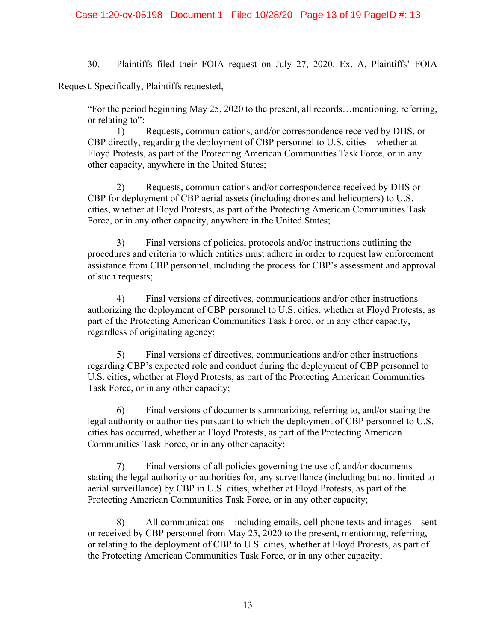30. Plaintiffs filed their FOIA request on July 27, 2020. Ex. A, Plaintiffs' FOIA

Request. Specifically, Plaintiffs requested,

"For the period beginning May 25, 2020 to the present, all records…mentioning, referring, or relating to":

 1) Requests, communications, and/or correspondence received by DHS, or CBP directly, regarding the deployment of CBP personnel to U.S. cities—whether at Floyd Protests, as part of the Protecting American Communities Task Force, or in any other capacity, anywhere in the United States;

 2) Requests, communications and/or correspondence received by DHS or CBP for deployment of CBP aerial assets (including drones and helicopters) to U.S. cities, whether at Floyd Protests, as part of the Protecting American Communities Task Force, or in any other capacity, anywhere in the United States;

 3) Final versions of policies, protocols and/or instructions outlining the procedures and criteria to which entities must adhere in order to request law enforcement assistance from CBP personnel, including the process for CBP's assessment and approval of such requests;

 4) Final versions of directives, communications and/or other instructions authorizing the deployment of CBP personnel to U.S. cities, whether at Floyd Protests, as part of the Protecting American Communities Task Force, or in any other capacity, regardless of originating agency;

 5) Final versions of directives, communications and/or other instructions regarding CBP's expected role and conduct during the deployment of CBP personnel to U.S. cities, whether at Floyd Protests, as part of the Protecting American Communities Task Force, or in any other capacity;

 6) Final versions of documents summarizing, referring to, and/or stating the legal authority or authorities pursuant to which the deployment of CBP personnel to U.S. cities has occurred, whether at Floyd Protests, as part of the Protecting American Communities Task Force, or in any other capacity;

 7) Final versions of all policies governing the use of, and/or documents stating the legal authority or authorities for, any surveillance (including but not limited to aerial surveillance) by CBP in U.S. cities, whether at Floyd Protests, as part of the Protecting American Communities Task Force, or in any other capacity;

 8) All communications—including emails, cell phone texts and images—sent or received by CBP personnel from May 25, 2020 to the present, mentioning, referring, or relating to the deployment of CBP to U.S. cities, whether at Floyd Protests, as part of the Protecting American Communities Task Force, or in any other capacity;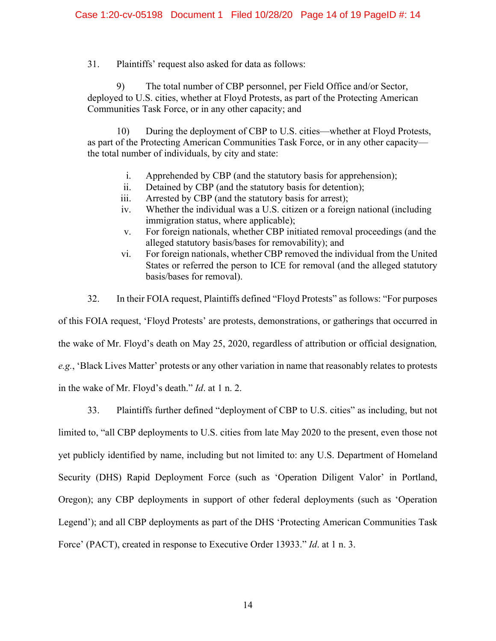31. Plaintiffs' request also asked for data as follows:

 9) The total number of CBP personnel, per Field Office and/or Sector, deployed to U.S. cities, whether at Floyd Protests, as part of the Protecting American Communities Task Force, or in any other capacity; and

 10) During the deployment of CBP to U.S. cities—whether at Floyd Protests, as part of the Protecting American Communities Task Force, or in any other capacity the total number of individuals, by city and state:

- i. Apprehended by CBP (and the statutory basis for apprehension);
- ii. Detained by CBP (and the statutory basis for detention);
- iii. Arrested by CBP (and the statutory basis for arrest);
- iv. Whether the individual was a U.S. citizen or a foreign national (including immigration status, where applicable);
- v. For foreign nationals, whether CBP initiated removal proceedings (and the alleged statutory basis/bases for removability); and
- vi. For foreign nationals, whether CBP removed the individual from the United States or referred the person to ICE for removal (and the alleged statutory basis/bases for removal).
- 32. In their FOIA request, Plaintiffs defined "Floyd Protests" as follows: "For purposes

of this FOIA request, 'Floyd Protests' are protests, demonstrations, or gatherings that occurred in the wake of Mr. Floyd's death on May 25, 2020, regardless of attribution or official designation*, e.g.*, 'Black Lives Matter' protests or any other variation in name that reasonably relates to protests in the wake of Mr. Floyd's death." *Id*. at 1 n. 2.

33. Plaintiffs further defined "deployment of CBP to U.S. cities" as including, but not limited to, "all CBP deployments to U.S. cities from late May 2020 to the present, even those not yet publicly identified by name, including but not limited to: any U.S. Department of Homeland Security (DHS) Rapid Deployment Force (such as 'Operation Diligent Valor' in Portland, Oregon); any CBP deployments in support of other federal deployments (such as 'Operation Legend'); and all CBP deployments as part of the DHS 'Protecting American Communities Task Force' (PACT), created in response to Executive Order 13933." *Id*. at 1 n. 3.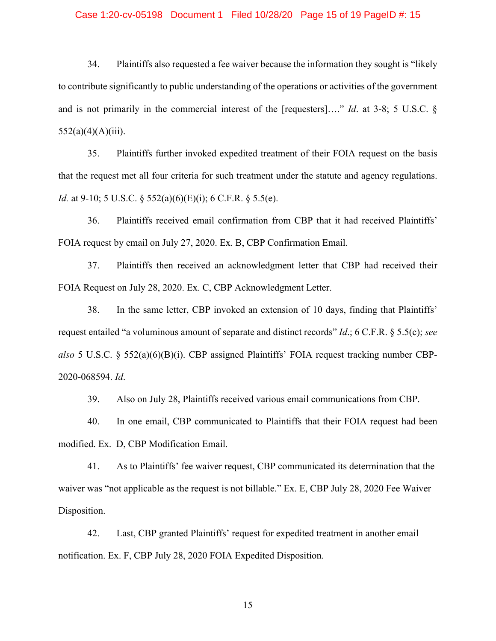#### Case 1:20-cv-05198 Document 1 Filed 10/28/20 Page 15 of 19 PageID #: 15

34. Plaintiffs also requested a fee waiver because the information they sought is "likely to contribute significantly to public understanding of the operations or activities of the government and is not primarily in the commercial interest of the [requesters]…." *Id*. at 3-8; 5 U.S.C. §  $552(a)(4)(A)(iii)$ .

35. Plaintiffs further invoked expedited treatment of their FOIA request on the basis that the request met all four criteria for such treatment under the statute and agency regulations. *Id.* at 9-10; 5 U.S.C. § 552(a)(6)(E)(i); 6 C.F.R. § 5.5(e).

36. Plaintiffs received email confirmation from CBP that it had received Plaintiffs' FOIA request by email on July 27, 2020. Ex. B, CBP Confirmation Email.

37. Plaintiffs then received an acknowledgment letter that CBP had received their FOIA Request on July 28, 2020. Ex. C, CBP Acknowledgment Letter.

38. In the same letter, CBP invoked an extension of 10 days, finding that Plaintiffs' request entailed "a voluminous amount of separate and distinct records" *Id*.; 6 C.F.R. § 5.5(c); *see also* 5 U.S.C. § 552(a)(6)(B)(i). CBP assigned Plaintiffs' FOIA request tracking number CBP-2020-068594. *Id*.

39. Also on July 28, Plaintiffs received various email communications from CBP.

40. In one email, CBP communicated to Plaintiffs that their FOIA request had been modified. Ex. D, CBP Modification Email.

41. As to Plaintiffs' fee waiver request, CBP communicated its determination that the waiver was "not applicable as the request is not billable." Ex. E, CBP July 28, 2020 Fee Waiver Disposition.

42. Last, CBP granted Plaintiffs' request for expedited treatment in another email notification. Ex. F, CBP July 28, 2020 FOIA Expedited Disposition.

15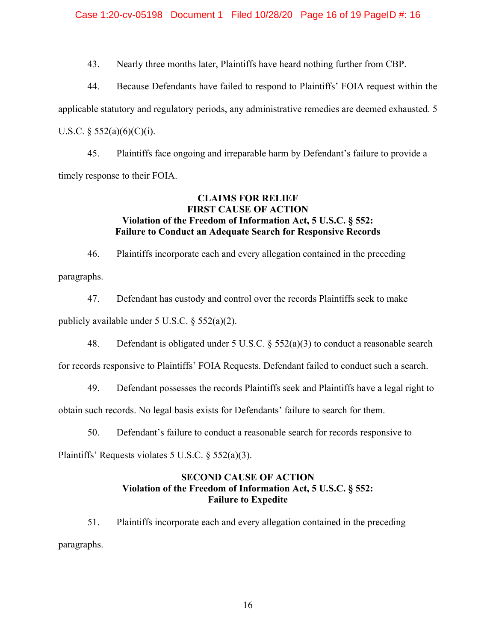43. Nearly three months later, Plaintiffs have heard nothing further from CBP.

44. Because Defendants have failed to respond to Plaintiffs' FOIA request within the applicable statutory and regulatory periods, any administrative remedies are deemed exhausted. 5 U.S.C.  $\S$  552(a)(6)(C)(i).

45. Plaintiffs face ongoing and irreparable harm by Defendant's failure to provide a timely response to their FOIA.

# **CLAIMS FOR RELIEF FIRST CAUSE OF ACTION Violation of the Freedom of Information Act, 5 U.S.C. § 552: Failure to Conduct an Adequate Search for Responsive Records**

46. Plaintiffs incorporate each and every allegation contained in the preceding paragraphs.

47. Defendant has custody and control over the records Plaintiffs seek to make publicly available under 5 U.S.C. § 552(a)(2).

48. Defendant is obligated under 5 U.S.C.  $\S$  552(a)(3) to conduct a reasonable search

for records responsive to Plaintiffs' FOIA Requests. Defendant failed to conduct such a search.

49. Defendant possesses the records Plaintiffs seek and Plaintiffs have a legal right to

obtain such records. No legal basis exists for Defendants' failure to search for them.

50. Defendant's failure to conduct a reasonable search for records responsive to

Plaintiffs' Requests violates 5 U.S.C. § 552(a)(3).

# **SECOND CAUSE OF ACTION Violation of the Freedom of Information Act, 5 U.S.C. § 552: Failure to Expedite**

51. Plaintiffs incorporate each and every allegation contained in the preceding paragraphs.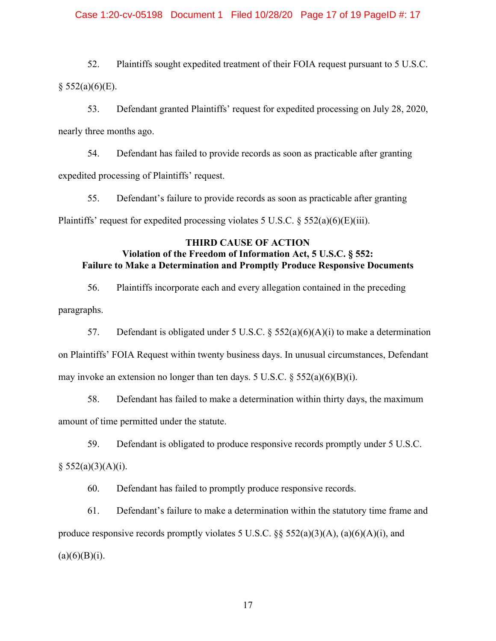### Case 1:20-cv-05198 Document 1 Filed 10/28/20 Page 17 of 19 PageID #: 17

52. Plaintiffs sought expedited treatment of their FOIA request pursuant to 5 U.S.C.  $§$  552(a)(6)(E).

53. Defendant granted Plaintiffs' request for expedited processing on July 28, 2020, nearly three months ago.

54. Defendant has failed to provide records as soon as practicable after granting expedited processing of Plaintiffs' request.

55. Defendant's failure to provide records as soon as practicable after granting Plaintiffs' request for expedited processing violates 5 U.S.C.  $\S$  552(a)(6)(E)(iii).

# **THIRD CAUSE OF ACTION Violation of the Freedom of Information Act, 5 U.S.C. § 552: Failure to Make a Determination and Promptly Produce Responsive Documents**

56. Plaintiffs incorporate each and every allegation contained in the preceding paragraphs.

57. Defendant is obligated under 5 U.S.C.  $\S$  552(a)(6)(A)(i) to make a determination on Plaintiffs' FOIA Request within twenty business days. In unusual circumstances, Defendant may invoke an extension no longer than ten days. 5 U.S.C.  $\S$  552(a)(6)(B)(i).

58. Defendant has failed to make a determination within thirty days, the maximum amount of time permitted under the statute.

59. Defendant is obligated to produce responsive records promptly under 5 U.S.C.

 $§ 552(a)(3)(A)(i).$ 

60. Defendant has failed to promptly produce responsive records.

61. Defendant's failure to make a determination within the statutory time frame and produce responsive records promptly violates 5 U.S.C.  $\S$  552(a)(3)(A), (a)(6)(A)(i), and  $(a)(6)(B)(i).$ 

17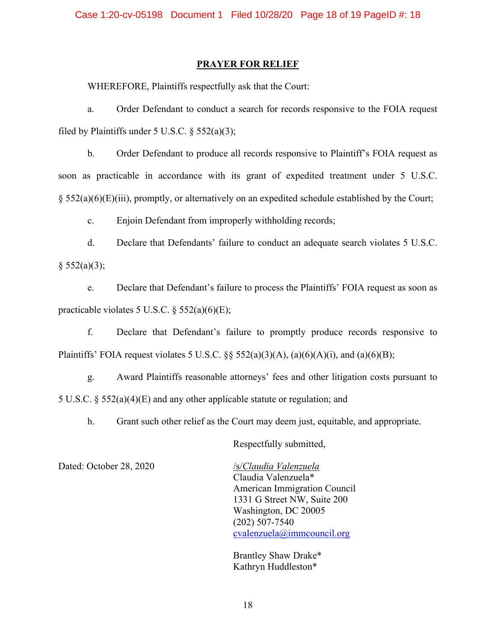### **PRAYER FOR RELIEF**

WHEREFORE, Plaintiffs respectfully ask that the Court:

a. Order Defendant to conduct a search for records responsive to the FOIA request filed by Plaintiffs under 5 U.S.C.  $\S$  552(a)(3);

b. Order Defendant to produce all records responsive to Plaintiff's FOIA request as soon as practicable in accordance with its grant of expedited treatment under 5 U.S.C. § 552(a)(6)(E)(iii), promptly, or alternatively on an expedited schedule established by the Court;

c. Enjoin Defendant from improperly withholding records;

d. Declare that Defendants' failure to conduct an adequate search violates 5 U.S.C.  $§ 552(a)(3);$ 

e. Declare that Defendant's failure to process the Plaintiffs' FOIA request as soon as practicable violates 5 U.S.C. § 552(a)(6)(E);

f. Declare that Defendant's failure to promptly produce records responsive to Plaintiffs' FOIA request violates 5 U.S.C. §§  $552(a)(3)(A)$ ,  $(a)(6)(A)(i)$ , and  $(a)(6)(B)$ ;

g. Award Plaintiffs reasonable attorneys' fees and other litigation costs pursuant to 5 U.S.C. § 552(a)(4)(E) and any other applicable statute or regulation; and

h. Grant such other relief as the Court may deem just, equitable, and appropriate.

Respectfully submitted,

Dated: October 28, 2020 /s/*Claudia Valenzuela* 

Claudia Valenzuela\* American Immigration Council 1331 G Street NW, Suite 200 Washington, DC 20005 (202) 507-7540 cvalenzuela@immcouncil.org

Brantley Shaw Drake\* Kathryn Huddleston\*